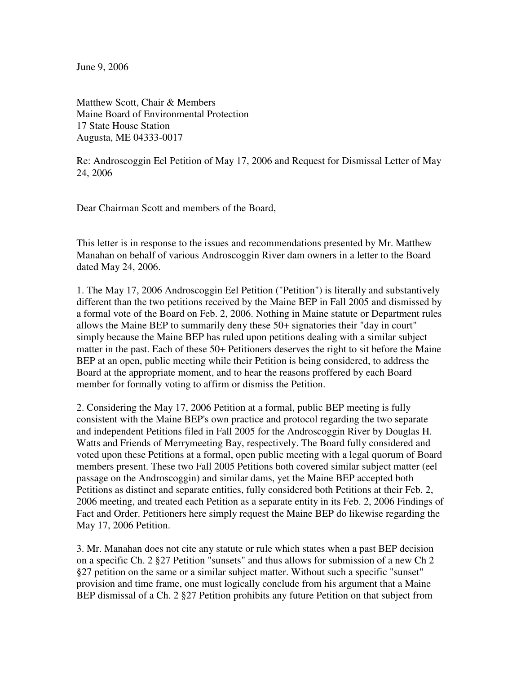June 9, 2006

Matthew Scott, Chair & Members Maine Board of Environmental Protection 17 State House Station Augusta, ME 04333-0017

Re: Androscoggin Eel Petition of May 17, 2006 and Request for Dismissal Letter of May 24, 2006

Dear Chairman Scott and members of the Board,

This letter is in response to the issues and recommendations presented by Mr. Matthew Manahan on behalf of various Androscoggin River dam owners in a letter to the Board dated May 24, 2006.

1. The May 17, 2006 Androscoggin Eel Petition ("Petition") is literally and substantively different than the two petitions received by the Maine BEP in Fall 2005 and dismissed by a formal vote of the Board on Feb. 2, 2006. Nothing in Maine statute or Department rules allows the Maine BEP to summarily deny these 50+ signatories their "day in court" simply because the Maine BEP has ruled upon petitions dealing with a similar subject matter in the past. Each of these 50+ Petitioners deserves the right to sit before the Maine BEP at an open, public meeting while their Petition is being considered, to address the Board at the appropriate moment, and to hear the reasons proffered by each Board member for formally voting to affirm or dismiss the Petition.

2. Considering the May 17, 2006 Petition at a formal, public BEP meeting is fully consistent with the Maine BEP's own practice and protocol regarding the two separate and independent Petitions filed in Fall 2005 for the Androscoggin River by Douglas H. Watts and Friends of Merrymeeting Bay, respectively. The Board fully considered and voted upon these Petitions at a formal, open public meeting with a legal quorum of Board members present. These two Fall 2005 Petitions both covered similar subject matter (eel passage on the Androscoggin) and similar dams, yet the Maine BEP accepted both Petitions as distinct and separate entities, fully considered both Petitions at their Feb. 2, 2006 meeting, and treated each Petition as a separate entity in its Feb. 2, 2006 Findings of Fact and Order. Petitioners here simply request the Maine BEP do likewise regarding the May 17, 2006 Petition.

3. Mr. Manahan does not cite any statute or rule which states when a past BEP decision on a specific Ch. 2 §27 Petition "sunsets" and thus allows for submission of a new Ch 2 §27 petition on the same or a similar subject matter. Without such a specific "sunset" provision and time frame, one must logically conclude from his argument that a Maine BEP dismissal of a Ch. 2 §27 Petition prohibits any future Petition on that subject from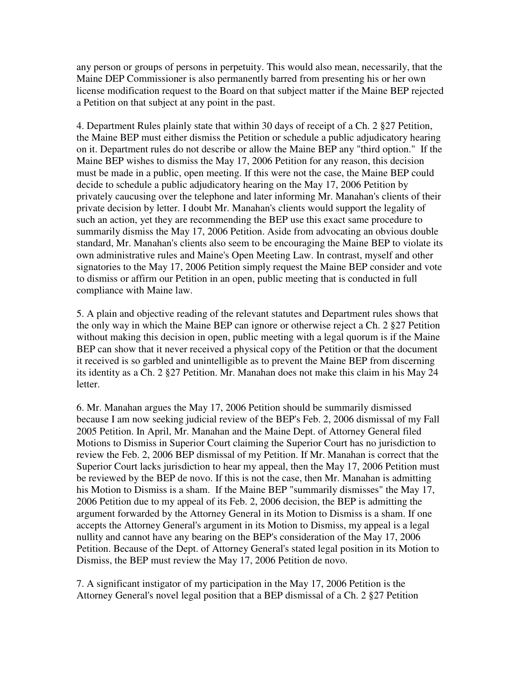any person or groups of persons in perpetuity. This would also mean, necessarily, that the Maine DEP Commissioner is also permanently barred from presenting his or her own license modification request to the Board on that subject matter if the Maine BEP rejected a Petition on that subject at any point in the past.

4. Department Rules plainly state that within 30 days of receipt of a Ch. 2 §27 Petition, the Maine BEP must either dismiss the Petition or schedule a public adjudicatory hearing on it. Department rules do not describe or allow the Maine BEP any "third option." If the Maine BEP wishes to dismiss the May 17, 2006 Petition for any reason, this decision must be made in a public, open meeting. If this were not the case, the Maine BEP could decide to schedule a public adjudicatory hearing on the May 17, 2006 Petition by privately caucusing over the telephone and later informing Mr. Manahan's clients of their private decision by letter. I doubt Mr. Manahan's clients would support the legality of such an action, yet they are recommending the BEP use this exact same procedure to summarily dismiss the May 17, 2006 Petition. Aside from advocating an obvious double standard, Mr. Manahan's clients also seem to be encouraging the Maine BEP to violate its own administrative rules and Maine's Open Meeting Law. In contrast, myself and other signatories to the May 17, 2006 Petition simply request the Maine BEP consider and vote to dismiss or affirm our Petition in an open, public meeting that is conducted in full compliance with Maine law.

5. A plain and objective reading of the relevant statutes and Department rules shows that the only way in which the Maine BEP can ignore or otherwise reject a Ch. 2 §27 Petition without making this decision in open, public meeting with a legal quorum is if the Maine BEP can show that it never received a physical copy of the Petition or that the document it received is so garbled and unintelligible as to prevent the Maine BEP from discerning its identity as a Ch. 2 §27 Petition. Mr. Manahan does not make this claim in his May 24 letter.

6. Mr. Manahan argues the May 17, 2006 Petition should be summarily dismissed because I am now seeking judicial review of the BEP's Feb. 2, 2006 dismissal of my Fall 2005 Petition. In April, Mr. Manahan and the Maine Dept. of Attorney General filed Motions to Dismiss in Superior Court claiming the Superior Court has no jurisdiction to review the Feb. 2, 2006 BEP dismissal of my Petition. If Mr. Manahan is correct that the Superior Court lacks jurisdiction to hear my appeal, then the May 17, 2006 Petition must be reviewed by the BEP de novo. If this is not the case, then Mr. Manahan is admitting his Motion to Dismiss is a sham. If the Maine BEP "summarily dismisses" the May 17, 2006 Petition due to my appeal of its Feb. 2, 2006 decision, the BEP is admitting the argument forwarded by the Attorney General in its Motion to Dismiss is a sham. If one accepts the Attorney General's argument in its Motion to Dismiss, my appeal is a legal nullity and cannot have any bearing on the BEP's consideration of the May 17, 2006 Petition. Because of the Dept. of Attorney General's stated legal position in its Motion to Dismiss, the BEP must review the May 17, 2006 Petition de novo.

7. A significant instigator of my participation in the May 17, 2006 Petition is the Attorney General's novel legal position that a BEP dismissal of a Ch. 2 §27 Petition